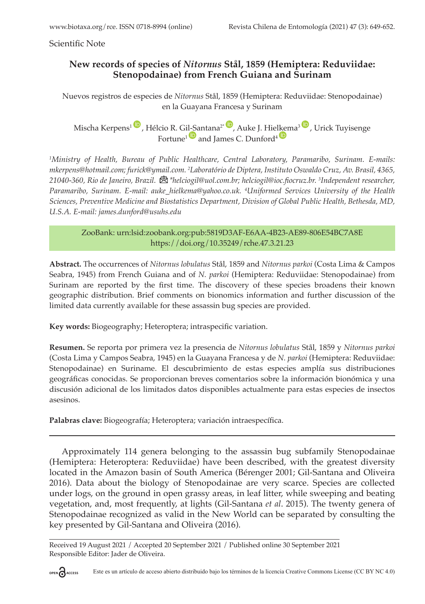Scientific Note

## **New records of species of** *Nitornus* **Stål, 1859 (Hemiptera: Reduviidae: Stenopodainae) from French Guiana and Surinam**

Nuevos registros de especies de *Nitornus* Stål, 1859 (Hemiptera: Reduviidae: Stenopodainae) en la Guayana Francesa y Surinam

Mischa Kerpens<sup>1</sup><sup>(10</sup>, Hélcio R. Gil-Santana<sup>2\* (10</sup>, Auke J. Hie[lkem](https://orcid.org/0000-0002-7287-4722)a<sup>3</sup><sup>(10</sup>, Urick Tuyisenge Fortune<sup>1</sup> and James C. Dunford<sup>4</sup>

*1 Ministry of Health, Bureau of Public Healthcare, Central Laboratory, Paramaribo, Surinam. E-mails: [mkerpens@hotmail.com](mailto:mkerpens@hotmail.com); [furick@ymail.com.](mailto:furick@ymail.com) <sup>2</sup> Laboratório de Diptera, Instituto Oswaldo Cruz, Av. Brasil, 4365, 21040-360, Rio de Janeiro, Brazil. [\\*helciogil@uol.com.br](mailto:helciogil@uol.com.br); [helciogil@ioc.fiocruz.br](mailto:helciogil@ioc.fiocruz.br). 3 Independent researcher, Paramaribo, Surinam. E-mail: [auke\\_hielkema@yahoo.co.uk.](mailto:auke_hielkema@yahoo.co.uk) 4 Uniformed Services University of the Health Sciences, Preventive Medicine and Biostatistics Department, Division of Global Public Health, Bethesda, MD, U.S.A. E-mail: [james.dunford@usuhs.edu](mailto:james.dunford@usuhs.edu)*

ZooBank: urn:lsid:zoobank.org:pub:5819D3AF-E6AA-4B23-AE89-806E54BC7A8E <https://doi.org/10.35249/rche.47.3.21.23>

**Abstract.** The occurrences of *Nitornus lobulatus* Stål, 1859 and *Nitornus parkoi* (Costa Lima & Campos Seabra, 1945) from French Guiana and of *N. parkoi* (Hemiptera: Reduviidae: Stenopodainae) from Surinam are reported by the first time. The discovery of these species broadens their known geographic distribution. Brief comments on bionomics information and further discussion of the limited data currently available for these assassin bug species are provided.

**Key words:** Biogeography; Heteroptera; intraspecific variation.

**Resumen.** Se reporta por primera vez la presencia de *Nitornus lobulatus* Stål, 1859 y *Nitornus parkoi* (Costa Lima y Campos Seabra, 1945) en la Guayana Francesa y de *N. parkoi* (Hemiptera: Reduviidae: Stenopodainae) en Suriname. El descubrimiento de estas especies amplía sus distribuciones geográficas conocidas. Se proporcionan breves comentarios sobre la información bionómica y una discusión adicional de los limitados datos disponibles actualmente para estas especies de insectos asesinos.

**Palabras clave:** Biogeografía; Heteroptera; variación intraespecífica.

Approximately 114 genera belonging to the assassin bug subfamily Stenopodainae (Hemiptera: Heteroptera: Reduviidae) have been described, with the greatest diversity located in the Amazon basin of South America (Bérenger 2001; Gil-Santana and Oliveira 2016). Data about the biology of Stenopodainae are very scarce. Species are collected under logs, on the ground in open grassy areas, in leaf litter, while sweeping and beating vegetation, and, most frequently, at lights (Gil-Santana *et al*. 2015). The twenty genera of Stenopodainae recognized as valid in the New World can be separated by consulting the key presented by Gil-Santana and Oliveira (2016).

Received 19 August 2021 / Accepted 20 September 2021 / Published online 30 September 2021 Responsible Editor: Jader de Oliveira.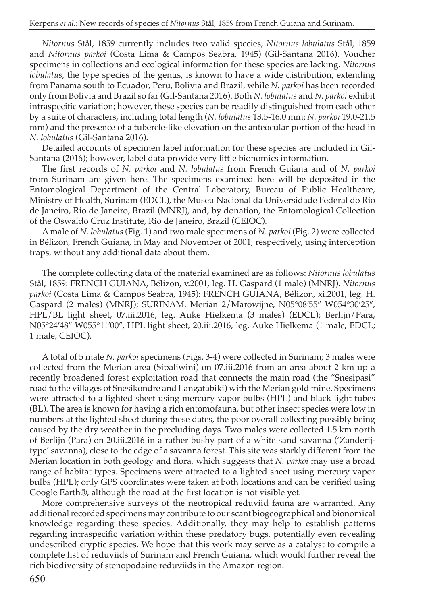*Nitornus* Stål, 1859 currently includes two valid species, *Nitornus lobulatus* Stål, 1859 and *Nitornus parkoi* (Costa Lima & Campos Seabra, 1945) (Gil-Santana 2016). Voucher specimens in collections and ecological information for these species are lacking. *Nitornus lobulatus*, the type species of the genus, is known to have a wide distribution, extending from Panama south to Ecuador, Peru, Bolivia and Brazil, while *N. parkoi* has been recorded only from Bolivia and Brazil so far(Gil-Santana 2016). Both *N. lobulatus* and *N. parkoi* exhibit intraspecific variation; however, these species can be readily distinguished from each other by a suite of characters, including total length (*N. lobulatus* 13.5-16.0 mm; *N. parkoi* 19.0-21.5 mm) and the presence of a tubercle-like elevation on the anteocular portion of the head in *N. lobulatus* (Gil-Santana 2016).

Detailed accounts of specimen label information for these species are included in Gil-Santana (2016); however, label data provide very little bionomics information.

The first records of *N. parkoi* and *N. lobulatus* from French Guiana and of *N. parkoi* from Surinam are given here. The specimens examined here will be deposited in the Entomological Department of the Central Laboratory, Bureau of Public Healthcare, Ministry of Health, Surinam (EDCL), the Museu Nacional da Universidade Federal do Rio de Janeiro, Rio de Janeiro, Brazil (MNRJ), and, by donation, the Entomological Collection of the Oswaldo Cruz Institute, Rio de Janeiro, Brazil (CEIOC).

A male of *N. lobulatus* (Fig. 1) and two male specimens of *N. parkoi* (Fig. 2) were collected in Bélizon, French Guiana, in May and November of 2001, respectively, using interception traps, without any additional data about them.

The complete collecting data of the material examined are as follows: *Nitornus lobulatus* Stål, 1859: FRENCH GUIANA, Bélizon, v.2001, leg. H. Gaspard (1 male) (MNRJ). *Nitornus parkoi* (Costa Lima & Campos Seabra, 1945): FRENCH GUIANA, Bélizon, xi.2001, leg. H. Gaspard (2 males) (MNRJ); SURINAM, Merian 2/Marowijne, N05°08′55″ W054°30′25″, HPL/BL light sheet, 07.iii.2016, leg. Auke Hielkema (3 males) (EDCL); Berlijn/Para, N05°24′48″ W055°11′00″, HPL light sheet, 20.iii.2016, leg. Auke Hielkema (1 male, EDCL; 1 male, CEIOC).

A total of 5 male *N. parkoi* specimens (Figs. 3-4) were collected in Surinam; 3 males were collected from the Merian area (Sipaliwini) on 07.iii.2016 from an area about 2 km up a recently broadened forest exploitation road that connects the main road (the "Snesipasi" road to the villages of Snesikondre and Langatabiki) with the Merian gold mine. Specimens were attracted to a lighted sheet using mercury vapor bulbs (HPL) and black light tubes (BL). The area is known for having a rich entomofauna, but other insect species were low in numbers at the lighted sheet during these dates, the poor overall collecting possibly being caused by the dry weather in the precluding days. Two males were collected 1.5 km north of Berlijn (Para) on 20.iii.2016 in a rather bushy part of a white sand savanna ('Zanderijtype' savanna), close to the edge of a savanna forest. This site was starkly different from the Merian location in both geology and flora, which suggests that *N. parkoi* may use a broad range of habitat types. Specimens were attracted to a lighted sheet using mercury vapor bulbs (HPL); only GPS coordinates were taken at both locations and can be verified using Google Earth®, although the road at the first location is not visible yet.

More comprehensive surveys of the neotropical reduviid fauna are warranted. Any additional recorded specimens may contribute to our scant biogeographical and bionomical knowledge regarding these species. Additionally, they may help to establish patterns regarding intraspecific variation within these predatory bugs, potentially even revealing undescribed cryptic species. We hope that this work may serve as a catalyst to compile a complete list of reduviids of Surinam and French Guiana, which would further reveal the rich biodiversity of stenopodaine reduviids in the Amazon region.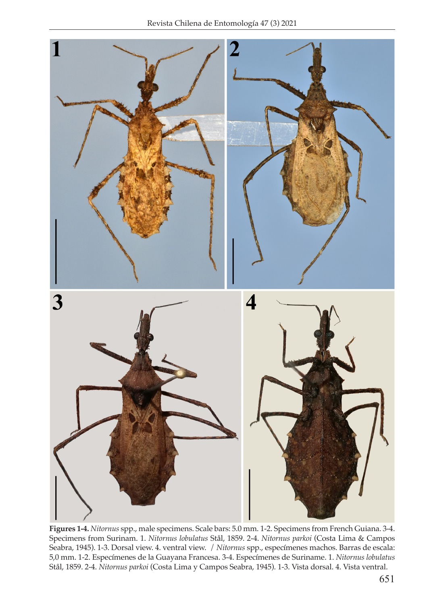

**Figures 1-4.** *Nitornus* spp., male specimens. Scale bars: 5.0 mm. 1-2. Specimens from French Guiana. 3-4. Specimens from Surinam. 1. *Nitornus lobulatus* Stål, 1859. 2-4. *Nitornus parkoi* (Costa Lima & Campos Seabra, 1945). 1-3. Dorsal view. 4. ventral view. / *Nitornus* spp., especímenes machos. Barras de escala: 5,0 mm. 1-2. Especímenes de la Guayana Francesa. 3-4. Especímenes de Suriname. 1. *Nitornus lobulatus*  Stål, 1859. 2-4. *Nitornus parkoi* (Costa Lima y Campos Seabra, 1945). 1-3. Vista dorsal. 4. Vista ventral.